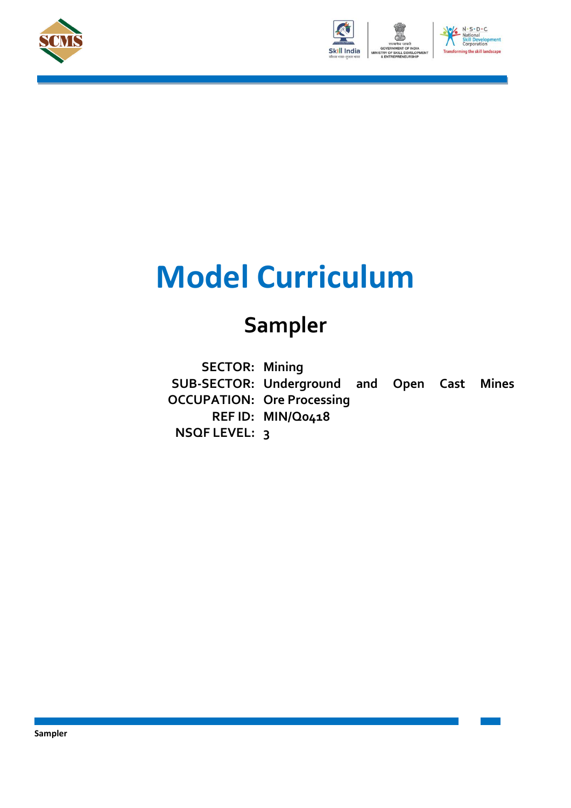





# **Model Curriculum**

## **Sampler**

**SECTOR: Mining SUB-SECTOR: Underground and Open Cast Mines OCCUPATION: Ore Processing REF ID: MIN/Q0418 NSQF LEVEL: 3**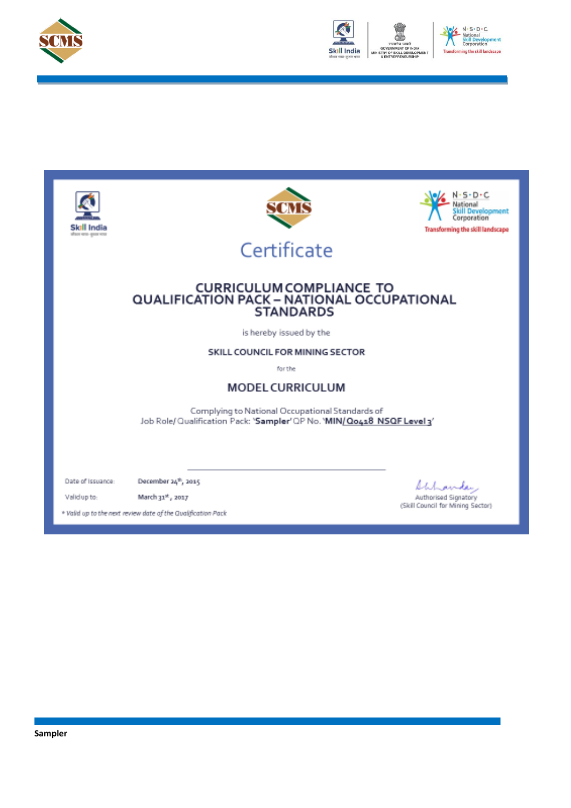



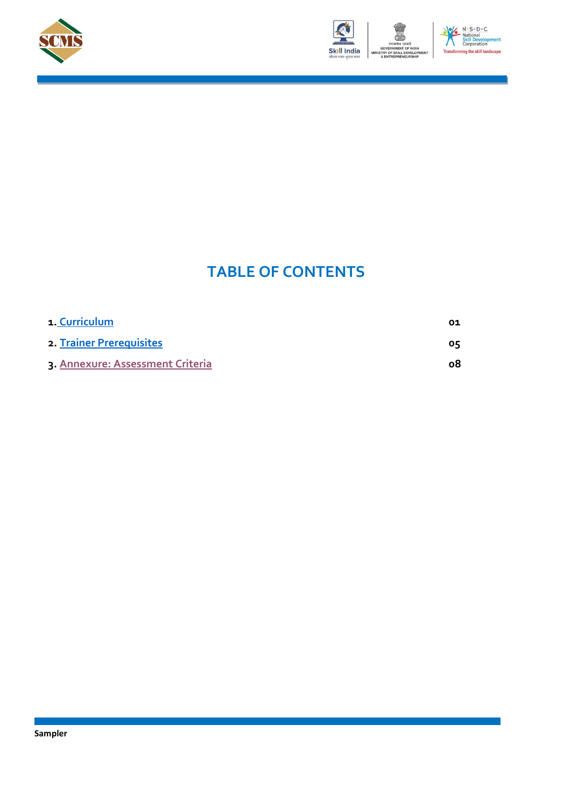





### **TABLE OF CONTENTS**

| 1. Curriculum                    | O1 |
|----------------------------------|----|
| 2. Trainer Prerequisites         | 05 |
| 3. Annexure: Assessment Criteria | ο8 |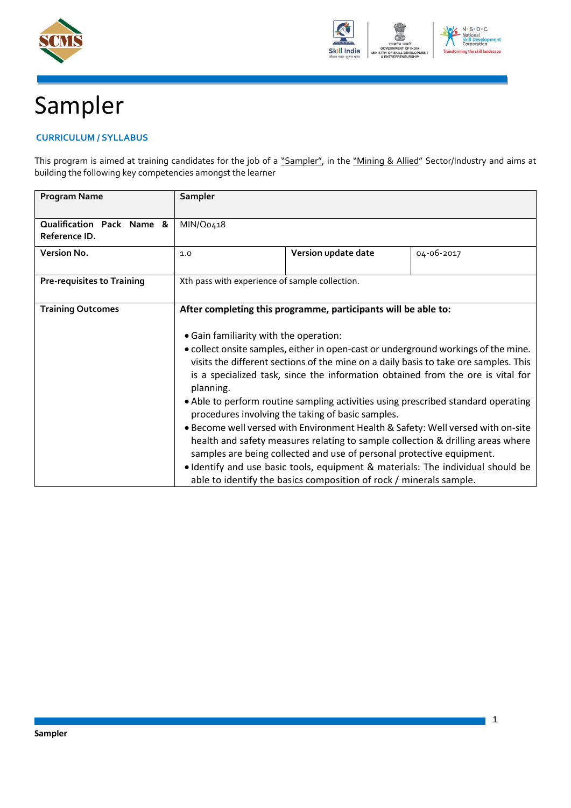



## <span id="page-3-0"></span>Sampler

#### **CURRICULUM / SYLLABUS**

This program is aimed at training candidates for the job of a "Sampler", in the "Mining & Allied" Sector/Industry and aims at building the following key competencies amongst the learner

| <b>Program Name</b>                        | Sampler                                                                                                                                                                                                                                                                    |                                                                                                                                             |                                                                                                                                                                                                                                                       |
|--------------------------------------------|----------------------------------------------------------------------------------------------------------------------------------------------------------------------------------------------------------------------------------------------------------------------------|---------------------------------------------------------------------------------------------------------------------------------------------|-------------------------------------------------------------------------------------------------------------------------------------------------------------------------------------------------------------------------------------------------------|
| Qualification Pack Name &<br>Reference ID. | MIN/Q0418                                                                                                                                                                                                                                                                  |                                                                                                                                             |                                                                                                                                                                                                                                                       |
| Version No.                                | 1.0                                                                                                                                                                                                                                                                        | Version update date                                                                                                                         | 04-06-2017                                                                                                                                                                                                                                            |
| <b>Pre-requisites to Training</b>          | Xth pass with experience of sample collection.                                                                                                                                                                                                                             |                                                                                                                                             |                                                                                                                                                                                                                                                       |
| <b>Training Outcomes</b>                   |                                                                                                                                                                                                                                                                            | After completing this programme, participants will be able to:                                                                              |                                                                                                                                                                                                                                                       |
|                                            | • Gain familiarity with the operation:                                                                                                                                                                                                                                     |                                                                                                                                             |                                                                                                                                                                                                                                                       |
|                                            | • collect onsite samples, either in open-cast or underground workings of the mine.<br>visits the different sections of the mine on a daily basis to take ore samples. This<br>is a specialized task, since the information obtained from the ore is vital for<br>planning. |                                                                                                                                             |                                                                                                                                                                                                                                                       |
|                                            | • Able to perform routine sampling activities using prescribed standard operating<br>procedures involving the taking of basic samples.                                                                                                                                     |                                                                                                                                             |                                                                                                                                                                                                                                                       |
|                                            |                                                                                                                                                                                                                                                                            | samples are being collected and use of personal protective equipment.<br>able to identify the basics composition of rock / minerals sample. | . Become well versed with Environment Health & Safety: Well versed with on-site<br>health and safety measures relating to sample collection & drilling areas where<br>. Identify and use basic tools, equipment & materials: The individual should be |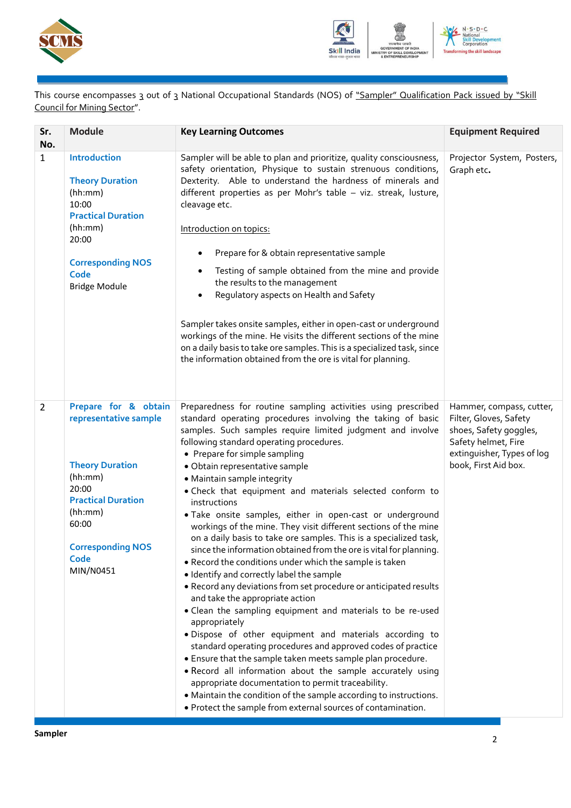



This course encompasses 3 out of 3 National Occupational Standards (NOS) of "Sampler" Qualification Pack issued by "Skill Council for Mining Sector".

| Sr.<br>No.     | <b>Module</b>                                                                                                                                                                                 | <b>Key Learning Outcomes</b>                                                                                                                                                                                                                                                                                                                                                                                                                                                                                                                                                                                                                                                                                                                                                                                                                                                                                                                                                                                                                                                                                                                                                                                                                                                                                                                                                                                                                     | <b>Equipment Required</b>                                                                                                                                 |
|----------------|-----------------------------------------------------------------------------------------------------------------------------------------------------------------------------------------------|--------------------------------------------------------------------------------------------------------------------------------------------------------------------------------------------------------------------------------------------------------------------------------------------------------------------------------------------------------------------------------------------------------------------------------------------------------------------------------------------------------------------------------------------------------------------------------------------------------------------------------------------------------------------------------------------------------------------------------------------------------------------------------------------------------------------------------------------------------------------------------------------------------------------------------------------------------------------------------------------------------------------------------------------------------------------------------------------------------------------------------------------------------------------------------------------------------------------------------------------------------------------------------------------------------------------------------------------------------------------------------------------------------------------------------------------------|-----------------------------------------------------------------------------------------------------------------------------------------------------------|
| $\mathbf{1}$   | <b>Introduction</b><br><b>Theory Duration</b><br>(hh:mm)<br>10:00<br><b>Practical Duration</b><br>(hh:mm)<br>20:00<br><b>Corresponding NOS</b><br>Code<br><b>Bridge Module</b>                | Sampler will be able to plan and prioritize, quality consciousness,<br>safety orientation, Physique to sustain strenuous conditions,<br>Dexterity. Able to understand the hardness of minerals and<br>different properties as per Mohr's table - viz. streak, lusture,<br>cleavage etc.<br>Introduction on topics:<br>Prepare for & obtain representative sample<br>$\bullet$<br>Testing of sample obtained from the mine and provide<br>٠<br>the results to the management<br>Regulatory aspects on Health and Safety<br>$\bullet$<br>Sampler takes onsite samples, either in open-cast or underground<br>workings of the mine. He visits the different sections of the mine<br>on a daily basis to take ore samples. This is a specialized task, since<br>the information obtained from the ore is vital for planning.                                                                                                                                                                                                                                                                                                                                                                                                                                                                                                                                                                                                                         | Projector System, Posters,<br>Graph etc.                                                                                                                  |
| $\overline{2}$ | Prepare for & obtain<br>representative sample<br><b>Theory Duration</b><br>(hh:mm)<br>20:00<br><b>Practical Duration</b><br>(hh:mm)<br>60:00<br><b>Corresponding NOS</b><br>Code<br>MIN/N0451 | Preparedness for routine sampling activities using prescribed<br>standard operating procedures involving the taking of basic<br>samples. Such samples require limited judgment and involve<br>following standard operating procedures.<br>• Prepare for simple sampling<br>· Obtain representative sample<br>• Maintain sample integrity<br>. Check that equipment and materials selected conform to<br>instructions<br>. Take onsite samples, either in open-cast or underground<br>workings of the mine. They visit different sections of the mine<br>on a daily basis to take ore samples. This is a specialized task,<br>since the information obtained from the ore is vital for planning.<br>. Record the conditions under which the sample is taken<br>· Identify and correctly label the sample<br>. Record any deviations from set procedure or anticipated results<br>and take the appropriate action<br>• Clean the sampling equipment and materials to be re-used<br>appropriately<br>· Dispose of other equipment and materials according to<br>standard operating procedures and approved codes of practice<br>. Ensure that the sample taken meets sample plan procedure.<br>. Record all information about the sample accurately using<br>appropriate documentation to permit traceability.<br>• Maintain the condition of the sample according to instructions.<br>. Protect the sample from external sources of contamination. | Hammer, compass, cutter,<br>Filter, Gloves, Safety<br>shoes, Safety goggles,<br>Safety helmet, Fire<br>extinguisher, Types of log<br>book, First Aid box. |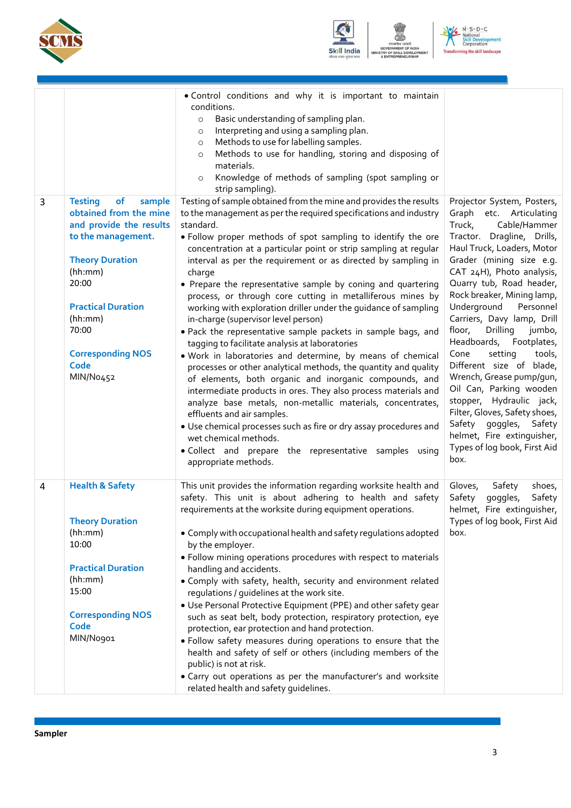



N - S - D - C<br>National<br>Skill Develope<br>Corporation  $\frac{d}{d}$ ent ing the skill landscape **Transf** 

ENT

| 3 | <b>Testing</b><br>of<br>sample                                                                                                                                                                                          | . Control conditions and why it is important to maintain<br>conditions.<br>Basic understanding of sampling plan.<br>$\circ$<br>Interpreting and using a sampling plan.<br>$\circ$<br>Methods to use for labelling samples.<br>$\circ$<br>Methods to use for handling, storing and disposing of<br>$\circ$<br>materials.<br>Knowledge of methods of sampling (spot sampling or<br>$\circ$<br>strip sampling).<br>Testing of sample obtained from the mine and provides the results                                                                                                                                                                                                                                                                                                                                                                                                                                                                                                                                                                                                                                                                                                                | Projector System, Posters,                                                                                                                                                                                                                                                                                                                                                                                                                                                                                                                                                                                                         |
|---|-------------------------------------------------------------------------------------------------------------------------------------------------------------------------------------------------------------------------|--------------------------------------------------------------------------------------------------------------------------------------------------------------------------------------------------------------------------------------------------------------------------------------------------------------------------------------------------------------------------------------------------------------------------------------------------------------------------------------------------------------------------------------------------------------------------------------------------------------------------------------------------------------------------------------------------------------------------------------------------------------------------------------------------------------------------------------------------------------------------------------------------------------------------------------------------------------------------------------------------------------------------------------------------------------------------------------------------------------------------------------------------------------------------------------------------|------------------------------------------------------------------------------------------------------------------------------------------------------------------------------------------------------------------------------------------------------------------------------------------------------------------------------------------------------------------------------------------------------------------------------------------------------------------------------------------------------------------------------------------------------------------------------------------------------------------------------------|
|   | obtained from the mine<br>and provide the results<br>to the management.<br><b>Theory Duration</b><br>(hh:mm)<br>20:00<br><b>Practical Duration</b><br>(hh:mm)<br>70:00<br><b>Corresponding NOS</b><br>Code<br>MIN/No452 | to the management as per the required specifications and industry<br>standard.<br>. Follow proper methods of spot sampling to identify the ore<br>concentration at a particular point or strip sampling at regular<br>interval as per the requirement or as directed by sampling in<br>charge<br>• Prepare the representative sample by coning and quartering<br>process, or through core cutting in metalliferous mines by<br>working with exploration driller under the guidance of sampling<br>in-charge (supervisor level person)<br>. Pack the representative sample packets in sample bags, and<br>tagging to facilitate analysis at laboratories<br>. Work in laboratories and determine, by means of chemical<br>processes or other analytical methods, the quantity and quality<br>of elements, both organic and inorganic compounds, and<br>intermediate products in ores. They also process materials and<br>analyze base metals, non-metallic materials, concentrates,<br>effluents and air samples.<br>• Use chemical processes such as fire or dry assay procedures and<br>wet chemical methods.<br>· Collect and prepare the representative samples using<br>appropriate methods. | Graph etc. Articulating<br>Cable/Hammer<br>Truck,<br>Tractor. Dragline, Drills,<br>Haul Truck, Loaders, Motor<br>Grader (mining size e.g.<br>CAT 24H), Photo analysis,<br>Quarry tub, Road header,<br>Rock breaker, Mining lamp,<br>Underground<br>Personnel<br>Carriers, Davy lamp, Drill<br>Drilling<br>floor,<br>jumbo,<br>Headboards, Footplates,<br>Cone<br>setting<br>tools,<br>Different size of blade,<br>Wrench, Grease pump/gun,<br>Oil Can, Parking wooden<br>stopper, Hydraulic jack,<br>Filter, Gloves, Safety shoes,<br>Safety goggles, Safety<br>helmet, Fire extinguisher,<br>Types of log book, First Aid<br>box. |
| 4 | <b>Health &amp; Safety</b><br><b>Theory Duration</b><br>(hh:mm)<br>10:00<br><b>Practical Duration</b><br>(hh:mm)<br>15:00<br><b>Corresponding NOS</b><br>Code<br>MIN/No901                                              | This unit provides the information regarding worksite health and<br>safety. This unit is about adhering to health and safety<br>requirements at the worksite during equipment operations.<br>• Comply with occupational health and safety regulations adopted<br>by the employer.<br>· Follow mining operations procedures with respect to materials<br>handling and accidents.<br>. Comply with safety, health, security and environment related<br>regulations / guidelines at the work site.<br>. Use Personal Protective Equipment (PPE) and other safety gear<br>such as seat belt, body protection, respiratory protection, eye<br>protection, ear protection and hand protection.<br>. Follow safety measures during operations to ensure that the<br>health and safety of self or others (including members of the<br>public) is not at risk.<br>• Carry out operations as per the manufacturer's and worksite<br>related health and safety guidelines.                                                                                                                                                                                                                                  | Gloves,<br>Safety<br>shoes,<br>Safety<br>goggles,<br>Safety<br>helmet, Fire extinguisher,<br>Types of log book, First Aid<br>box.                                                                                                                                                                                                                                                                                                                                                                                                                                                                                                  |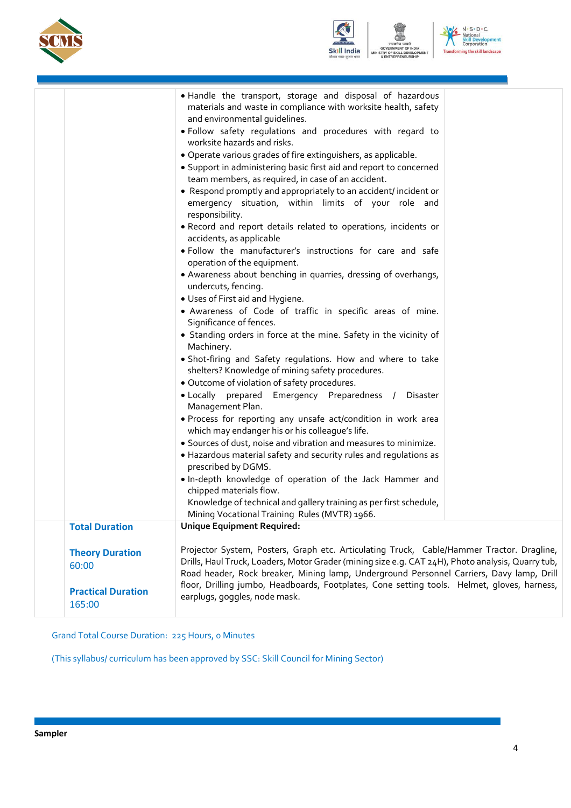





|                                     | . Handle the transport, storage and disposal of hazardous<br>materials and waste in compliance with worksite health, safety<br>and environmental guidelines.                                  |
|-------------------------------------|-----------------------------------------------------------------------------------------------------------------------------------------------------------------------------------------------|
|                                     | . Follow safety regulations and procedures with regard to<br>worksite hazards and risks.                                                                                                      |
|                                     | · Operate various grades of fire extinguishers, as applicable.                                                                                                                                |
|                                     | • Support in administering basic first aid and report to concerned                                                                                                                            |
|                                     | team members, as required, in case of an accident.<br>• Respond promptly and appropriately to an accident/incident or                                                                         |
|                                     | emergency situation, within limits of your role and<br>responsibility.                                                                                                                        |
|                                     | . Record and report details related to operations, incidents or<br>accidents, as applicable                                                                                                   |
|                                     | · Follow the manufacturer's instructions for care and safe<br>operation of the equipment.                                                                                                     |
|                                     | • Awareness about benching in quarries, dressing of overhangs,<br>undercuts, fencing.                                                                                                         |
|                                     | • Uses of First aid and Hygiene.                                                                                                                                                              |
|                                     | · Awareness of Code of traffic in specific areas of mine.<br>Significance of fences.                                                                                                          |
|                                     | • Standing orders in force at the mine. Safety in the vicinity of<br>Machinery.                                                                                                               |
|                                     | • Shot-firing and Safety regulations. How and where to take                                                                                                                                   |
|                                     | shelters? Knowledge of mining safety procedures.                                                                                                                                              |
|                                     | • Outcome of violation of safety procedures.                                                                                                                                                  |
|                                     | . Locally prepared Emergency Preparedness / Disaster<br>Management Plan.                                                                                                                      |
|                                     | • Process for reporting any unsafe act/condition in work area<br>which may endanger his or his colleague's life.                                                                              |
|                                     | • Sources of dust, noise and vibration and measures to minimize.                                                                                                                              |
|                                     | • Hazardous material safety and security rules and regulations as<br>prescribed by DGMS.                                                                                                      |
|                                     | . In-depth knowledge of operation of the Jack Hammer and<br>chipped materials flow.                                                                                                           |
|                                     | Knowledge of technical and gallery training as per first schedule,<br>Mining Vocational Training Rules (MVTR) 1966.                                                                           |
| <b>Total Duration</b>               | <b>Unique Equipment Required:</b>                                                                                                                                                             |
| <b>Theory Duration</b>              | Projector System, Posters, Graph etc. Articulating Truck, Cable/Hammer Tractor. Dragline,                                                                                                     |
| 60:00                               | Drills, Haul Truck, Loaders, Motor Grader (mining size e.g. CAT 24H), Photo analysis, Quarry tub,<br>Road header, Rock breaker, Mining lamp, Underground Personnel Carriers, Davy lamp, Drill |
| <b>Practical Duration</b><br>165:00 | floor, Drilling jumbo, Headboards, Footplates, Cone setting tools. Helmet, gloves, harness,<br>earplugs, goggles, node mask.                                                                  |
|                                     |                                                                                                                                                                                               |

Grand Total Course Duration: 225 Hours, 0 Minutes

(This syllabus/ curriculum has been approved by SSC: Skill Council for Mining Sector)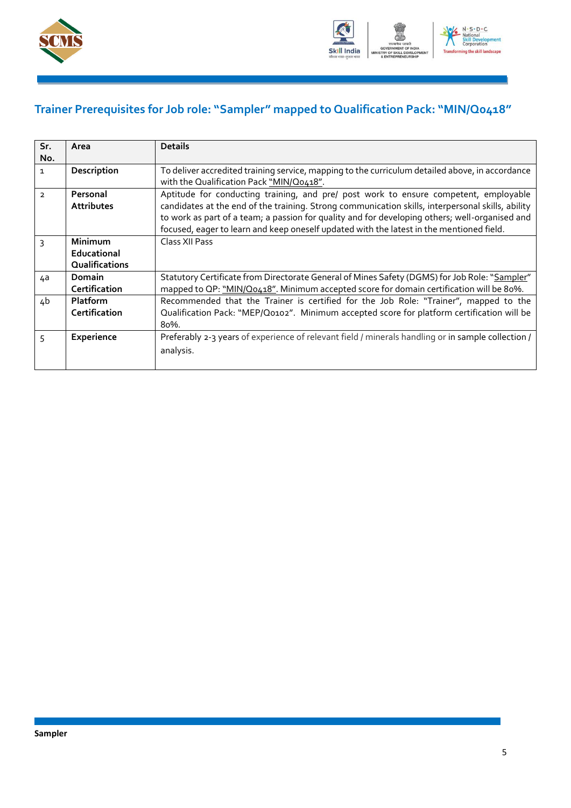



### <span id="page-7-0"></span>**Trainer Prerequisites for Job role: "Sampler" mapped to Qualification Pack: "MIN/Q0418"**

| Sr.<br>No.     | Area                                     | <b>Details</b>                                                                                                                                                                                                                                                                                                                                                                          |
|----------------|------------------------------------------|-----------------------------------------------------------------------------------------------------------------------------------------------------------------------------------------------------------------------------------------------------------------------------------------------------------------------------------------------------------------------------------------|
| $\mathbf{1}$   | Description                              | To deliver accredited training service, mapping to the curriculum detailed above, in accordance<br>with the Qualification Pack "MIN/Q0418".                                                                                                                                                                                                                                             |
| $\overline{2}$ | Personal<br><b>Attributes</b>            | Aptitude for conducting training, and pre/ post work to ensure competent, employable<br>candidates at the end of the training. Strong communication skills, interpersonal skills, ability<br>to work as part of a team; a passion for quality and for developing others; well-organised and<br>focused, eager to learn and keep oneself updated with the latest in the mentioned field. |
| 3              | Minimum<br>Educational<br>Qualifications | Class XII Pass                                                                                                                                                                                                                                                                                                                                                                          |
| 4a             | Domain<br>Certification                  | Statutory Certificate from Directorate General of Mines Safety (DGMS) for Job Role: "Sampler"<br>mapped to QP: "MIN/Q0418". Minimum accepted score for domain certification will be 80%.                                                                                                                                                                                                |
| 4b             | <b>Platform</b><br>Certification         | Recommended that the Trainer is certified for the Job Role: "Trainer", mapped to the<br>Qualification Pack: "MEP/Q0102". Minimum accepted score for platform certification will be<br>80%.                                                                                                                                                                                              |
| 5              | Experience                               | Preferably 2-3 years of experience of relevant field / minerals handling or in sample collection /<br>analysis.                                                                                                                                                                                                                                                                         |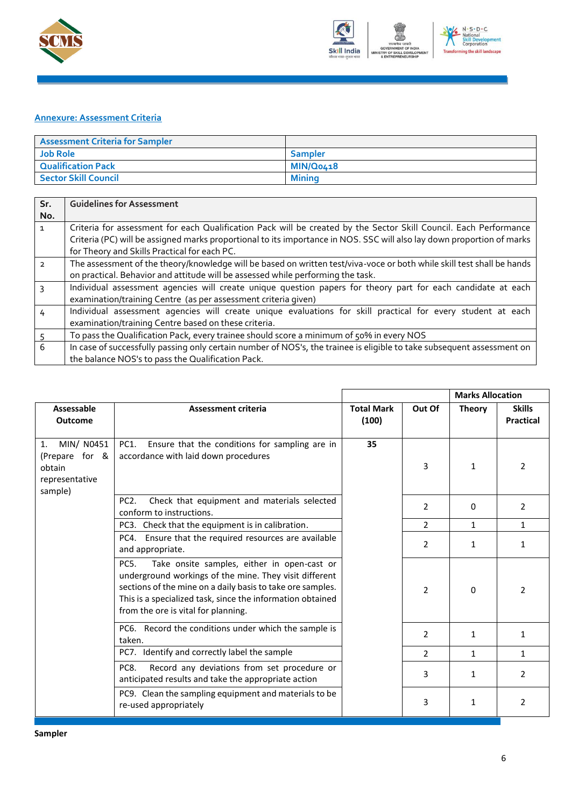



#### <span id="page-8-0"></span>**Annexure: Assessment Criteria**

| <b>Assessment Criteria for Sampler</b> |                |
|----------------------------------------|----------------|
| <b>Job Role</b>                        | <b>Sampler</b> |
| <b>Qualification Pack</b>              | MIN/Q0418      |
| <b>Sector Skill Council</b>            | Minina         |

| Sr.<br>No.    | <b>Guidelines for Assessment</b>                                                                                                                                                                                                                                                            |
|---------------|---------------------------------------------------------------------------------------------------------------------------------------------------------------------------------------------------------------------------------------------------------------------------------------------|
|               | Criteria for assessment for each Qualification Pack will be created by the Sector Skill Council. Each Performance<br>Criteria (PC) will be assigned marks proportional to its importance in NOS. SSC will also lay down proportion of marks<br>for Theory and Skills Practical for each PC. |
| $\mathcal{L}$ | The assessment of the theory/knowledge will be based on written test/viva-voce or both while skill test shall be hands<br>on practical. Behavior and attitude will be assessed while performing the task.                                                                                   |
| २             | Individual assessment agencies will create unique question papers for theory part for each candidate at each<br>examination/training Centre (as per assessment criteria given)                                                                                                              |
| 4             | Individual assessment agencies will create unique evaluations for skill practical for every student at each<br>examination/training Centre based on these criteria.                                                                                                                         |
|               | To pass the Qualification Pack, every trainee should score a minimum of 50% in every NOS                                                                                                                                                                                                    |
| 6             | In case of successfully passing only certain number of NOS's, the trainee is eligible to take subsequent assessment on<br>the balance NOS's to pass the Qualification Pack.                                                                                                                 |

|                                                                           |                                                                                                                                                                                                                                                                                               |                            |                | <b>Marks Allocation</b> |                            |
|---------------------------------------------------------------------------|-----------------------------------------------------------------------------------------------------------------------------------------------------------------------------------------------------------------------------------------------------------------------------------------------|----------------------------|----------------|-------------------------|----------------------------|
| Assessable<br><b>Outcome</b>                                              | Assessment criteria                                                                                                                                                                                                                                                                           | <b>Total Mark</b><br>(100) | Out Of         | <b>Theory</b>           | <b>Skills</b><br>Practical |
| MIN/ N0451<br>1.<br>(Prepare for &<br>obtain<br>representative<br>sample) | Ensure that the conditions for sampling are in<br>PC1.<br>accordance with laid down procedures                                                                                                                                                                                                | 35                         | 3              | $\mathbf{1}$            | 2                          |
|                                                                           | PC <sub>2</sub> .<br>Check that equipment and materials selected<br>conform to instructions.                                                                                                                                                                                                  |                            | 2              | 0                       | $\overline{2}$             |
|                                                                           | PC3. Check that the equipment is in calibration.                                                                                                                                                                                                                                              |                            | 2              | $\mathbf{1}$            | 1                          |
|                                                                           | PC4. Ensure that the required resources are available<br>and appropriate.                                                                                                                                                                                                                     |                            | $\overline{2}$ | $\mathbf{1}$            | 1                          |
|                                                                           | Take onsite samples, either in open-cast or<br>PC <sub>5</sub> .<br>underground workings of the mine. They visit different<br>sections of the mine on a daily basis to take ore samples.<br>This is a specialized task, since the information obtained<br>from the ore is vital for planning. |                            | 2              | 0                       | 2                          |
|                                                                           | PC6. Record the conditions under which the sample is<br>taken.                                                                                                                                                                                                                                |                            | $\mathcal{P}$  | $\mathbf{1}$            | 1                          |
|                                                                           | PC7. Identify and correctly label the sample                                                                                                                                                                                                                                                  |                            | $\overline{2}$ | $\mathbf{1}$            | 1                          |
|                                                                           | Record any deviations from set procedure or<br>PC8.<br>anticipated results and take the appropriate action                                                                                                                                                                                    |                            | 3              | 1                       | 2                          |
|                                                                           | PC9. Clean the sampling equipment and materials to be<br>re-used appropriately                                                                                                                                                                                                                |                            | 3              | 1                       | $\overline{2}$             |

**Sampler**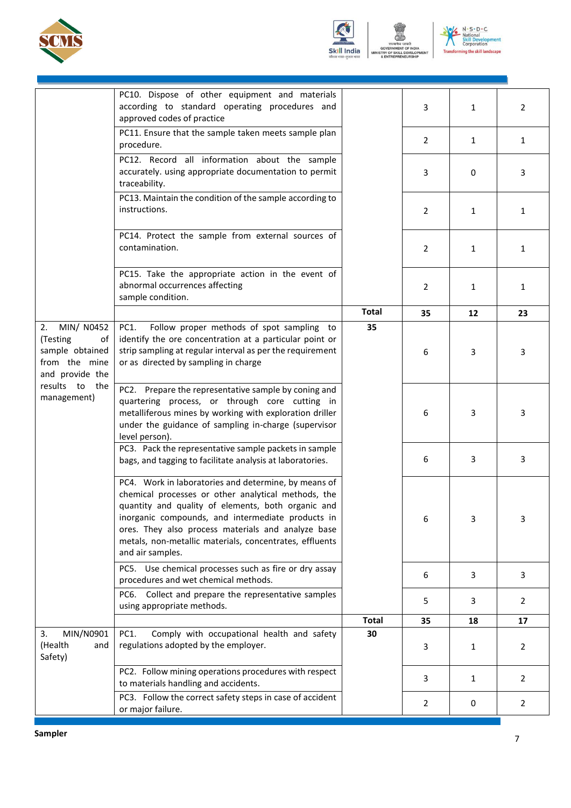



N . S . D . C<br>National<br>Skill Develop<br>Corporation ing the skill landscape **Transf** ENT

VELOP

ent

|                                                                                           | PC10. Dispose of other equipment and materials<br>according to standard operating procedures and<br>approved codes of practice                                                                                                                                                                                                                              |              | 3  | $\mathbf{1}$ | $\overline{2}$ |
|-------------------------------------------------------------------------------------------|-------------------------------------------------------------------------------------------------------------------------------------------------------------------------------------------------------------------------------------------------------------------------------------------------------------------------------------------------------------|--------------|----|--------------|----------------|
|                                                                                           | PC11. Ensure that the sample taken meets sample plan<br>procedure.                                                                                                                                                                                                                                                                                          |              | 2  | $\mathbf{1}$ | $\mathbf{1}$   |
|                                                                                           | PC12. Record all information about the sample<br>accurately. using appropriate documentation to permit<br>traceability.                                                                                                                                                                                                                                     |              | 3  | 0            | 3              |
|                                                                                           | PC13. Maintain the condition of the sample according to<br>instructions.                                                                                                                                                                                                                                                                                    |              | 2  | $\mathbf{1}$ | $\mathbf{1}$   |
|                                                                                           | PC14. Protect the sample from external sources of<br>contamination.                                                                                                                                                                                                                                                                                         |              | 2  | $\mathbf{1}$ | $\mathbf{1}$   |
|                                                                                           | PC15. Take the appropriate action in the event of<br>abnormal occurrences affecting<br>sample condition.                                                                                                                                                                                                                                                    |              | 2  | 1            | 1              |
|                                                                                           |                                                                                                                                                                                                                                                                                                                                                             | <b>Total</b> | 35 | 12           | 23             |
| MIN/ N0452<br>2.<br>(Testing<br>οf<br>sample obtained<br>from the mine<br>and provide the | Follow proper methods of spot sampling to<br>PC1.<br>identify the ore concentration at a particular point or<br>strip sampling at regular interval as per the requirement<br>or as directed by sampling in charge                                                                                                                                           | 35           | 6  | 3            | 3              |
| results to the<br>management)                                                             | PC2. Prepare the representative sample by coning and<br>quartering process, or through core cutting in<br>metalliferous mines by working with exploration driller<br>under the guidance of sampling in-charge (supervisor<br>level person).                                                                                                                 |              | 6  | 3            | 3              |
|                                                                                           | PC3. Pack the representative sample packets in sample<br>bags, and tagging to facilitate analysis at laboratories.                                                                                                                                                                                                                                          |              | 6  | 3            | 3              |
|                                                                                           | PC4. Work in laboratories and determine, by means of<br>chemical processes or other analytical methods, the<br>quantity and quality of elements, both organic and<br>inorganic compounds, and intermediate products in<br>ores. They also process materials and analyze base<br>metals, non-metallic materials, concentrates, effluents<br>and air samples. |              | 6  | 3            | 3              |
|                                                                                           | PC5. Use chemical processes such as fire or dry assay<br>procedures and wet chemical methods.                                                                                                                                                                                                                                                               |              | 6  | 3            | 3              |
|                                                                                           | PC6. Collect and prepare the representative samples<br>using appropriate methods.                                                                                                                                                                                                                                                                           |              | 5  | 3            | 2              |
|                                                                                           |                                                                                                                                                                                                                                                                                                                                                             | <b>Total</b> | 35 | 18           | 17             |
| MIN/N0901<br>3.<br>(Health<br>and<br>Safety)                                              | PC1.<br>Comply with occupational health and safety<br>regulations adopted by the employer.                                                                                                                                                                                                                                                                  | 30           | 3  | $\mathbf{1}$ | 2              |
|                                                                                           | PC2. Follow mining operations procedures with respect<br>to materials handling and accidents.                                                                                                                                                                                                                                                               |              | 3  | $\mathbf{1}$ | $\overline{2}$ |
|                                                                                           | PC3. Follow the correct safety steps in case of accident<br>or major failure.                                                                                                                                                                                                                                                                               |              | 2  | 0            | $\overline{2}$ |